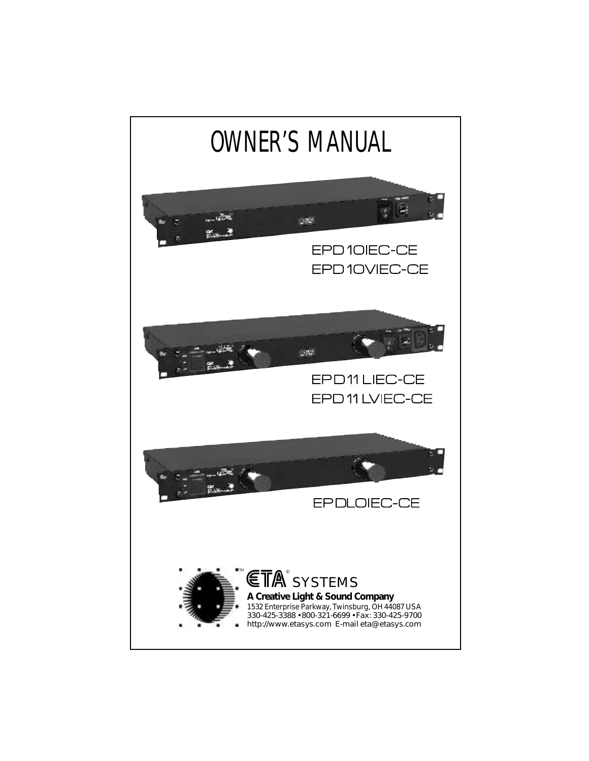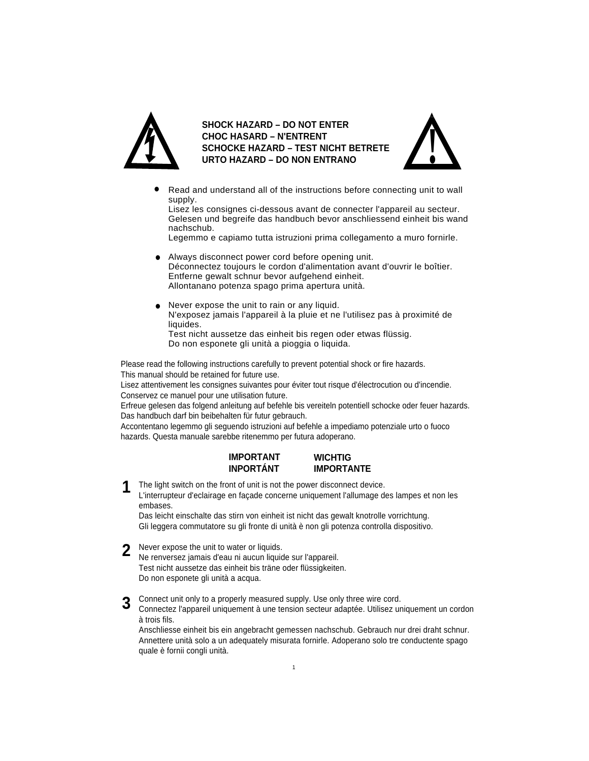

**SHOCK HAZARD – DO NOT ENTER CHOC HASARD – N'ENTRENT SCHOCKE HAZARD – TEST NICHT BETRETE URTO HAZARD – DO NON ENTRANO**



Read and understand all of the instructions before connecting unit to wall supply. •

Lisez les consignes ci-dessous avant de connecter l'appareil au secteur. Gelesen und begreife das handbuch bevor anschliessend einheit bis wand nachschub.

Legemmo e capiamo tutta istruzioni prima collegamento a muro fornirle.

- Always disconnect power cord before opening unit.<br>
Décense to the initial corder d'alimentation avail Déconnectez toujours le cordon d'alimentation avant d'ouvrir le boîtier. Entferne gewalt schnur bevor aufgehend einheit. Allontanano potenza spago prima apertura unità.
- Never expose the unit to rain or any liquid. N'exposez jamais l'appareil à la pluie et ne l'utilisez pas à proximité de liquides. Test nicht aussetze das einheit bis regen oder etwas flüssig. •

Do non esponete gli unità a pioggia o liquida.

Please read the following instructions carefully to prevent potential shock or fire hazards.

This manual should be retained for future use.

Lisez attentivement les consignes suivantes pour éviter tout risque d'électrocution ou d'incendie. Conservez ce manuel pour une utilisation future.

Erfreue gelesen das folgend anleitung auf befehle bis vereiteln potentiell schocke oder feuer hazards. Das handbuch darf bin beibehalten für futur gebrauch.

Accontentano legemmo gli seguendo istruzioni auf befehle a impediamo potenziale urto o fuoco hazards. Questa manuale sarebbe ritenemmo per futura adoperano.

#### **IMPORTANT INPORTÁNT WICHTIG IMPORTANTE**

The light switch on the front of unit is not the power disconnect device. L'interrupteur d'eclairage en façade concerne uniquement l'allumage des lampes et non les embases. **1**

Das leicht einschalte das stirn von einheit ist nicht das gewalt knotrolle vorrichtung. Gli leggera commutatore su gli fronte di unità è non gli potenza controlla dispositivo.

Never expose the unit to water or liquids. **2**

Ne renversez jamais d'eau ni aucun liquide sur l'appareil. Test nicht aussetze das einheit bis träne oder flüssigkeiten. Do non esponete gli unità a acqua.

Connect unit only to a properly measured supply. Use only three wire cord. **3**

Connectez l'appareil uniquement à une tension secteur adaptée. Utilisez uniquement un cordon à trois fils.

Anschliesse einheit bis ein angebracht gemessen nachschub. Gebrauch nur drei draht schnur. Annettere unità solo a un adequately misurata fornirle. Adoperano solo tre conductente spago quale è fornii congli unità.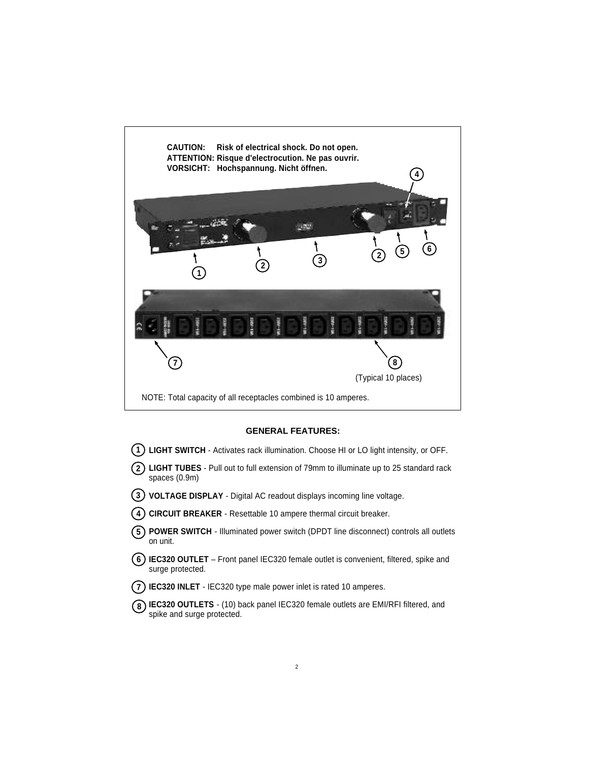

#### **GENERAL FEATURES:**

- **LIGHT SWITCH** Activates rack illumination. Choose HI or LO light intensity, or OFF.
- **LIGHT TUBES** Pull out to full extension of 79mm to illuminate up to 25 standard rack spaces (0.9m)
- **VOLTAGE DISPLAY** Digital AC readout displays incoming line voltage.
- **CIRCUIT BREAKER** Resettable 10 ampere thermal circuit breaker.
- **POWER SWITCH**  Illuminated power switch (DPDT line disconnect) controls all outlets on unit.
- **IEC320 OUTLET** Front panel IEC320 female outlet is convenient, filtered, spike and surge protected.
- **IEC320 INLET** IEC320 type male power inlet is rated 10 amperes.
- **IEC320 OUTLETS**  (10) back panel IEC320 female outlets are EMI/RFI filtered, and spike and surge protected.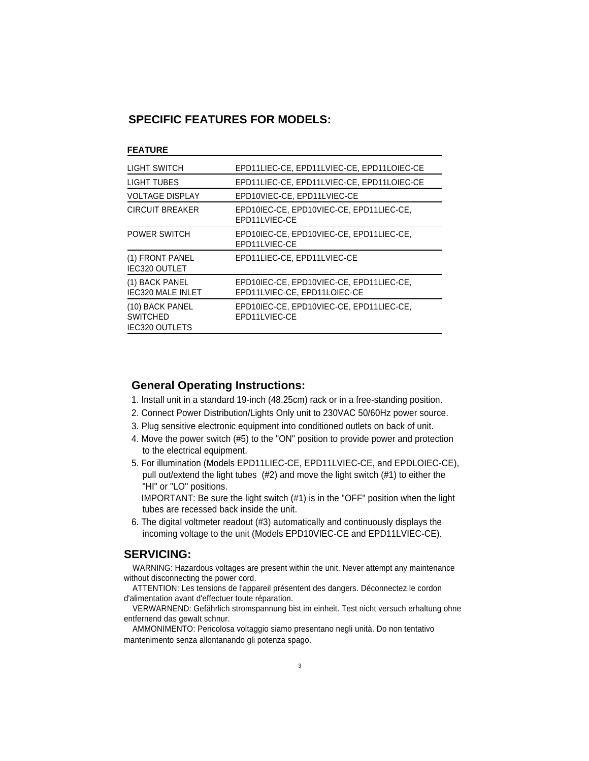## **SPECIFIC FEATURES FOR MODELS:**

#### **FEATURE**

| LIGHT SWITCH                                                | EPD11LIEC-CE, EPD11LVIEC-CE, EPD11LOIEC-CE                               |
|-------------------------------------------------------------|--------------------------------------------------------------------------|
| LIGHT TUBES                                                 | EPD11LIEC-CE, EPD11LVIEC-CE, EPD11LOIEC-CE                               |
| <b>VOLTAGE DISPLAY</b>                                      | EPD10VIEC-CE, EPD11LVIEC-CE                                              |
| <b>CIRCUIT BREAKER</b>                                      | EPD10IEC-CE, EPD10VIEC-CE, EPD11LIEC-CE,<br>EPD11LVIEC-CE                |
| <b>POWER SWITCH</b>                                         | EPD10IEC-CE, EPD10VIEC-CE, EPD11LIEC-CE,<br>EPD11LVIEC-CE                |
| (1) FRONT PANEL<br><b>IEC320 OUTLET</b>                     | EPD11LIEC-CE, EPD11LVIEC-CE                                              |
| (1) BACK PANEL<br><b>IEC320 MALE INLET</b>                  | EPD10IEC-CE, EPD10VIEC-CE, EPD11LIEC-CE,<br>EPD11LVIEC-CE, EPD11LOIEC-CE |
| (10) BACK PANEL<br><b>SWITCHED</b><br><b>IEC320 OUTLETS</b> | EPD10IEC-CE, EPD10VIEC-CE, EPD11LIEC-CE,<br>EPD11LVIEC-CE                |

## **General Operating Instructions:**

- 1. Install unit in a standard 19-inch (48.25cm) rack or in a free-standing position.
- 2. Connect Power Distribution/Lights Only unit to 230VAC 50/60Hz power source.
- 3. Plug sensitive electronic equipment into conditioned outlets on back of unit.
- 4. Move the power switch (#5) to the "ON" position to provide power and protection to the electrical equipment.
- 5. For illumination (Models EPD11LIEC-CE, EPD11LVIEC-CE, and EPDLOIEC-CE), pull out/extend the light tubes (#2) and move the light switch (#1) to either the "HI" or "LO" positions.

 IMPORTANT: Be sure the light switch (#1) is in the "OFF" position when the light tubes are recessed back inside the unit.

6. The digital voltmeter readout (#3) automatically and continuously displays the incoming voltage to the unit (Models EPD10VIEC-CE and EPD11LVIEC-CE).

# **SERVICING:**

WARNING: Hazardous voltages are present within the unit. Never attempt any maintenance without disconnecting the power cord.

ATTENTION: Les tensions de l'appareil présentent des dangers. Déconnectez le cordon d'alimentation avant d'effectuer toute réparation.

VERWARNEND: Gefährlich stromspannung bist im einheit. Test nicht versuch erhaltung ohne entfernend das gewalt schnur.

AMMONIMENTO: Pericolosa voltaggio siamo presentano negli unità. Do non tentativo mantenimento senza allontanando gli potenza spago.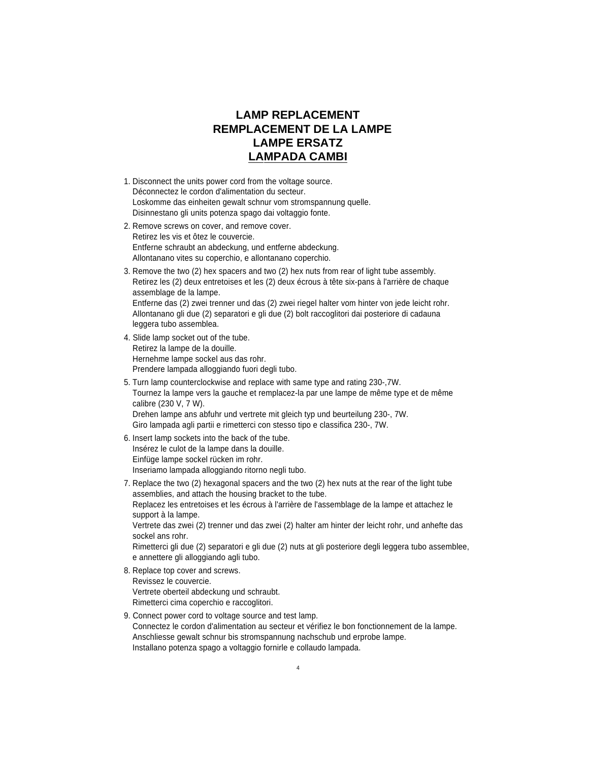# **LAMP REPLACEMENT REMPLACEMENT DE LA LAMPE LAMPE ERSATZ LAMPADA CAMBI**

- 1. Disconnect the units power cord from the voltage source. Déconnectez le cordon d'alimentation du secteur. Loskomme das einheiten gewalt schnur vom stromspannung quelle. Disinnestano gli units potenza spago dai voltaggio fonte.
- 2. Remove screws on cover, and remove cover. Retirez les vis et ôtez le couvercie. Entferne schraubt an abdeckung, und entferne abdeckung. Allontanano vites su coperchio, e allontanano coperchio.
- 3. Remove the two (2) hex spacers and two (2) hex nuts from rear of light tube assembly. Retirez les (2) deux entretoises et les (2) deux écrous à tête six-pans à l'arrière de chaque assemblage de la lampe.

Entferne das (2) zwei trenner und das (2) zwei riegel halter vom hinter von jede leicht rohr. Allontanano gli due (2) separatori e gli due (2) bolt raccoglitori dai posteriore di cadauna leggera tubo assemblea.

- 4. Slide lamp socket out of the tube. Retirez la lampe de la douille. Hernehme lampe sockel aus das rohr. Prendere lampada alloggiando fuori degli tubo.
- 5. Turn lamp counterclockwise and replace with same type and rating 230-,7W. Tournez la lampe vers la gauche et remplacez-la par une lampe de même type et de même calibre (230 V, 7 W). Drehen lampe ans abfuhr und vertrete mit gleich typ und beurteilung 230-, 7W. Giro lampada agli partii e rimetterci con stesso tipo e classifica 230-, 7W.
- 6. Insert lamp sockets into the back of the tube. Insérez le culot de la lampe dans la douille. Einfüge lampe sockel rücken im rohr. Inseriamo lampada alloggiando ritorno negli tubo.
- 7. Replace the two (2) hexagonal spacers and the two (2) hex nuts at the rear of the light tube assemblies, and attach the housing bracket to the tube.

Replacez les entretoises et les écrous à l'arrière de l'assemblage de la lampe et attachez le support à la lampe.

Vertrete das zwei (2) trenner und das zwei (2) halter am hinter der leicht rohr, und anhefte das sockel ans rohr.

Rimetterci gli due (2) separatori e gli due (2) nuts at gli posteriore degli leggera tubo assemblee, e annettere gli alloggiando agli tubo.

- 8. Replace top cover and screws. Revissez le couvercie. Vertrete oberteil abdeckung und schraubt. Rimetterci cima coperchio e raccoglitori.
- 9. Connect power cord to voltage source and test lamp. Connectez le cordon d'alimentation au secteur et vérifiez le bon fonctionnement de la lampe. Anschliesse gewalt schnur bis stromspannung nachschub und erprobe lampe. Installano potenza spago a voltaggio fornirle e collaudo lampada.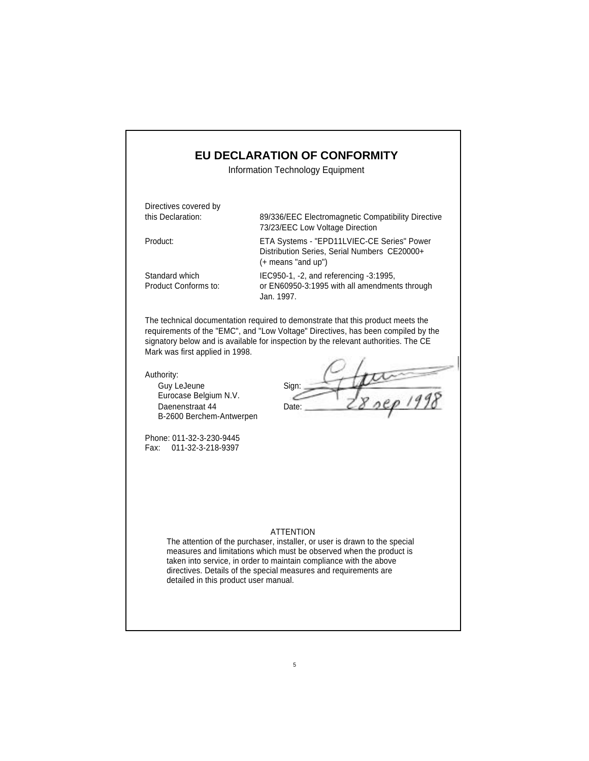# **EU DECLARATION OF CONFORMITY**

Information Technology Equipment

Directives covered by

this Declaration: 89/336/EEC Electromagnetic Compatibility Directive 73/23/EEC Low Voltage Direction

Product: ETA Systems - "EPD11LVIEC-CE Series" Power Distribution Series, Serial Numbers CE20000+ (+ means "and up")

Standard which IEC950-1, -2, and referencing -3:1995, Product Conforms to: or EN60950-3:1995 with all amendments through Jan. 1997.

The technical documentation required to demonstrate that this product meets the requirements of the "EMC", and "Low Voltage" Directives, has been compiled by the signatory below and is available for inspection by the relevant authorities. The CE Mark was first applied in 1998.

Authority:

Guy LeJeune Sign: Eurocase Belgium N.V. Daenenstraat 44 Date: B-2600 Berchem-Antwerpen

 $\frac{1}{28}$  sep 1998

Phone: 011-32-3-230-9445 Fax: 011-32-3-218-9397

### ATTENTION

The attention of the purchaser, installer, or user is drawn to the special measures and limitations which must be observed when the product is taken into service, in order to maintain compliance with the above directives. Details of the special measures and requirements are detailed in this product user manual.